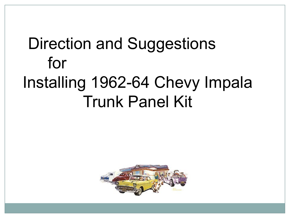## Direction and Suggestions for Installing 1962-64 Chevy Impala Trunk Panel Kit

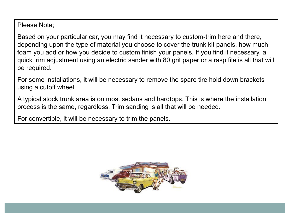## Please Note;

Based on your particular car, you may find it necessary to custom-trim here and there, depending upon the type of material you choose to cover the trunk kit panels, how much foam you add or how you decide to custom finish your panels. If you find it necessary, a quick trim adjustment using an electric sander with 80 grit paper or a rasp file is all that will be required.

For some installations, it will be necessary to remove the spare tire hold down brackets using a cutoff wheel.

A typical stock trunk area is on most sedans and hardtops. This is where the installation process is the same, regardless. Trim sanding is all that will be needed.

For convertible, it will be necessary to trim the panels.

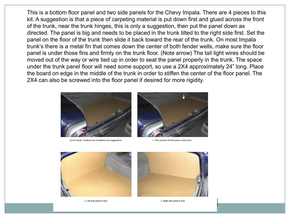This is a bottom floor panel and two side panels for the Chevy Impala. There are 4 pieces to this kit. A suggestion is that a piece of carpeting material is put down first and glued across the front of the trunk, near the trunk hinges, this is only a suggestion, then put the panel down as directed. The panel is big and needs to be placed in the trunk tilted to the right side first. Set the panel on the floor of the trunk then slide it back toward the rear of the trunk. On most Impala trunk's there is a metal fin that comes down the center of both fender wells, make sure the floor panel is under those fins and firmly on the trunk floor. (Note arrow) The tail light wires should be moved out of the way or wire tied up in order to seat the panel properly in the trunk. The space under the trunk panel floor will need some support, so use a 2X4 approximately 24" long. Place the board on edge in the middle of the trunk in order to stiffen the center of the floor panel. The 2X4 can also be screwed into the floor panel if desired for more rigidity.



62-64 Impala Hardtop trunk installation and suggestions.



1. Floor panel is the first peice in the trunk.



2. Left side panel is next.



3. Right side panel is next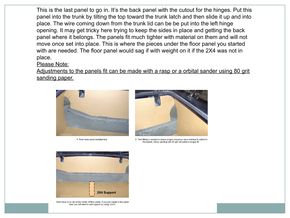This is the last panel to go in. It's the back panel with the cutout for the hinges. Put this panel into the trunk by tilting the top toward the trunk latch and then slide it up and into place. The wire coming down from the trunk lid can be be put into the left hinge opening. It may get tricky here trying to keep the sides in place and getting the back panel where it belongs. The panels fit much tighter with material on them and will not move once set into place. This is where the pieces under the floor panel you started with are needed. The floor panel would sag if with weight on it if the 2X4 was not in place.

## Please Note:

Adjustments to the panels fit can be made with a rasp or a orbital sander using 80 grit sanding paper.



4. Rear trunk panel installed last.



5. Test fitting is needed to insure proper cearance once material is added to the panels. Minor sanding with 80 grit will achieve proper fit.



Note there is no dip in the center of floor panel. If you put weight in the panel then you will need to add support by using 2X4's.